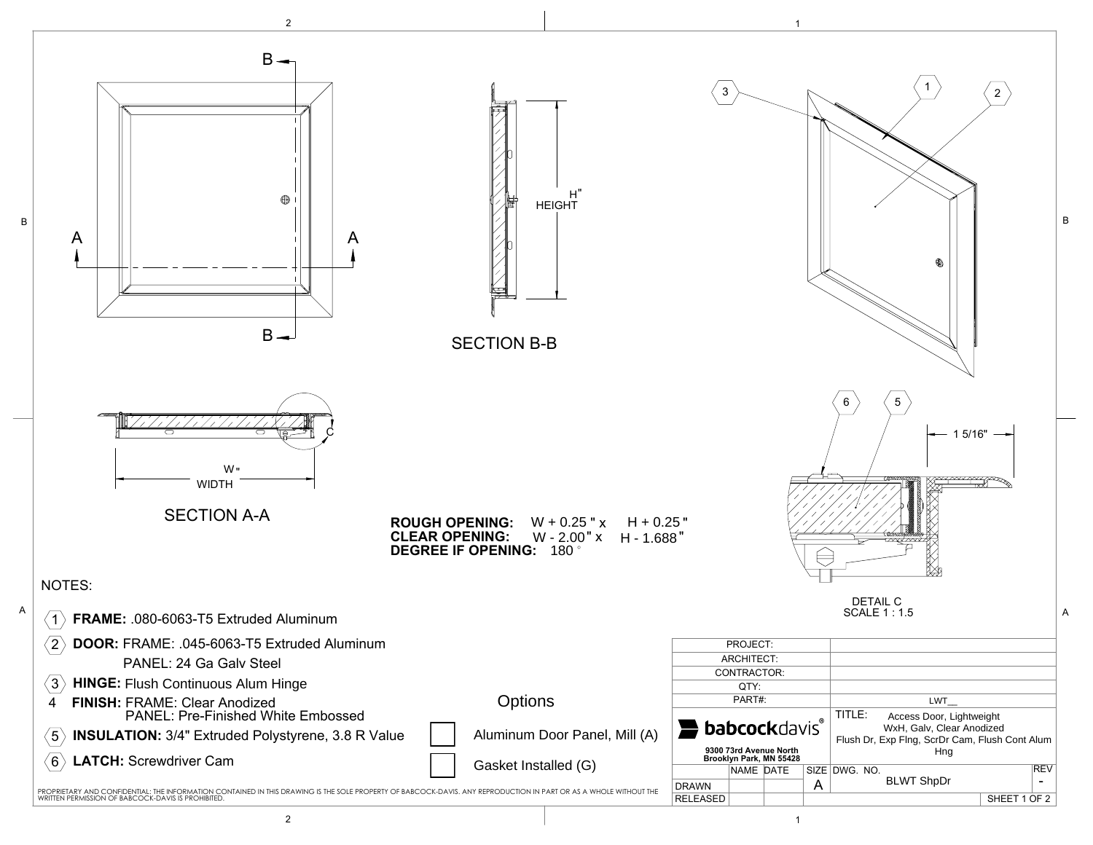

2 to the contract of  $\vert$  is the contract of  $\vert$  is the contract of  $\vert$  is the contract of  $\vert$  is the contract of  $\vert$  is the contract of  $\vert$  is the contract of  $\vert$  is the contract of  $\vert$  is the contract of  $\vert$  is